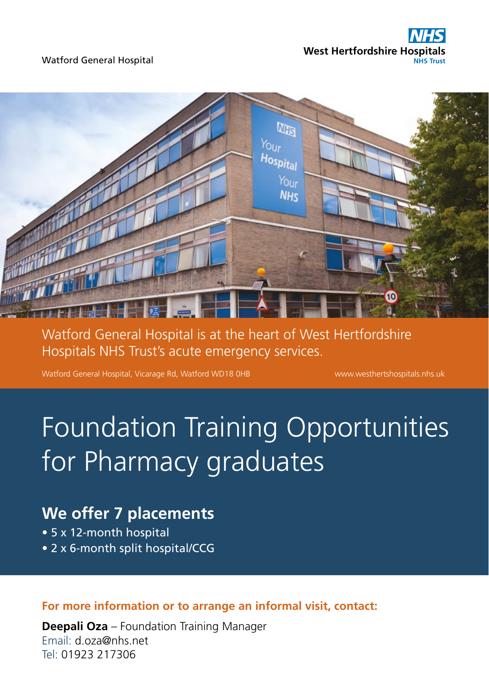



Watford General Hospital is at the heart of West Hertfordshire Hospitals NHS Trust's acute emergency services.

Watford General Hospital, Vicarage Rd, Watford WD18 0HB www.westhertshospitals.nhs.uk

# Foundation Training Opportunities for Pharmacy graduates

# **We offer 7 placements**

- 5 x 12-month hospital
- 2 x 6-month split hospital/CCG

**For more information or to arrange an informal visit, contact:** 

**Deepali Oza** – Foundation Training Manager Email: d.oza@nhs.net Tel: 01923 217306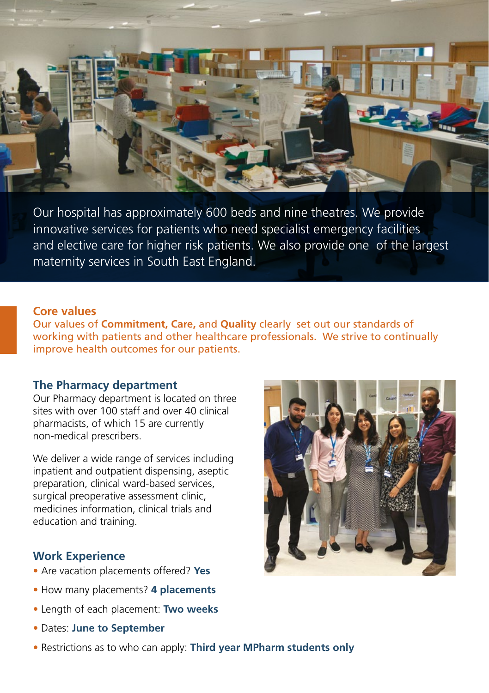

Our hospital has approximately 600 beds and nine theatres. We provide innovative services for patients who need specialist emergency facilities and elective care for higher risk patients. We also provide one of the largest maternity services in South East England.

#### **Core values**

Our values of **Commitment, Care,** and **Quality** clearly set out our standards of working with patients and other healthcare professionals. We strive to continually improve health outcomes for our patients.

#### **The Pharmacy department**

Our Pharmacy department is located on three sites with over 100 staff and over 40 clinical pharmacists, of which 15 are currently non-medical prescribers.

We deliver a wide range of services including inpatient and outpatient dispensing, aseptic preparation, clinical ward-based services, surgical preoperative assessment clinic, medicines information, clinical trials and education and training.

#### **Work Experience**

- Are vacation placements offered? **Yes**
- How many placements? **4 placements**
- Length of each placement: **Two weeks**
- Dates: **June to September**